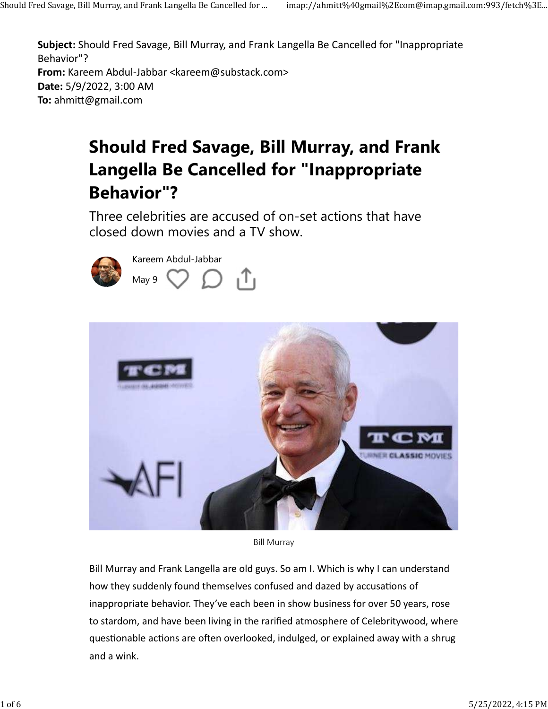**Subject:** Should Fred Savage, Bill Murray, and Frank Langella Be Cancelled for "Inappropriate Behavior"? **From:** Kareem Abdul-Jabbar <kareem@substack.com> **Date:** 5/9/2022, 3:00 AM **To: ahmitt@gmail.com** 

## **Should Fred Savage, Bill Murray, and Frank Langella Be Cancelled for "Inappropriate Behavior"?**

Three celebrities are accused of on-set actions that have closed down movies and a TV show.





Bill Murray

Bill Murray and Frank Langella are old guys. So am I. Which is why I can understand how they suddenly found themselves confused and dazed by accusations of inappropriate behavior. They've each been in show business for over 50 years, rose to stardom, and have been living in the rarified atmosphere of Celebritywood, where questionable actions are often overlooked, indulged, or explained away with a shrug and a wink.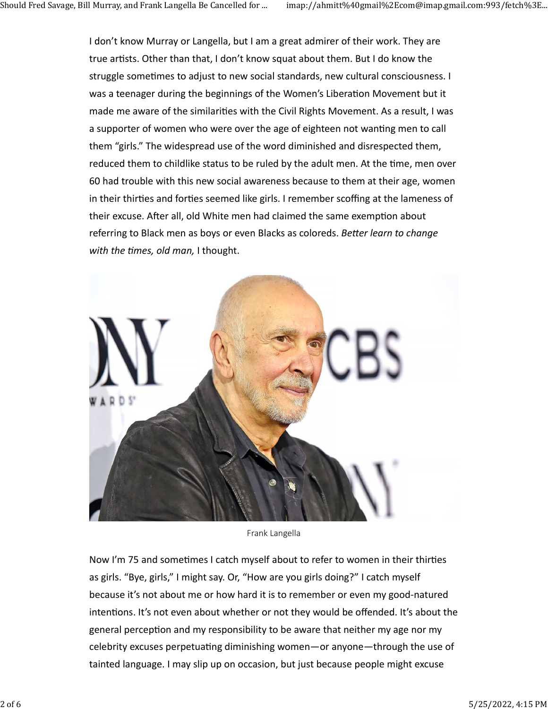I don't know Murray or Langella, but I am a great admirer of their work. They are true artists. Other than that, I don't know squat about them. But I do know the struggle sometimes to adjust to new social standards, new cultural consciousness. I was a teenager during the beginnings of the Women's Liberation Movement but it made me aware of the similarities with the Civil Rights Movement. As a result, I was a supporter of women who were over the age of eighteen not wanting men to call them "girls." The widespread use of the word diminished and disrespected them, reduced them to childlike status to be ruled by the adult men. At the time, men over 60 had trouble with this new social awareness because to them at their age, women in their thirties and forties seemed like girls. I remember scoffing at the lameness of their excuse. After all, old White men had claimed the same exemption about referring to Black men as boys or even Blacks as coloreds. *Better learn to change* with the times, old man, I thought.



Frank Langella

Now I'm 75 and sometimes I catch myself about to refer to women in their thirties as girls. "Bye, girls," I might say. Or, "How are you girls doing?" I catch myself because it's not about me or how hard it is to remember or even my good-natured intentions. It's not even about whether or not they would be offended. It's about the general perception and my responsibility to be aware that neither my age nor my celebrity excuses perpetuating diminishing women—or anyone—through the use of tainted language. I may slip up on occasion, but just because people might excuse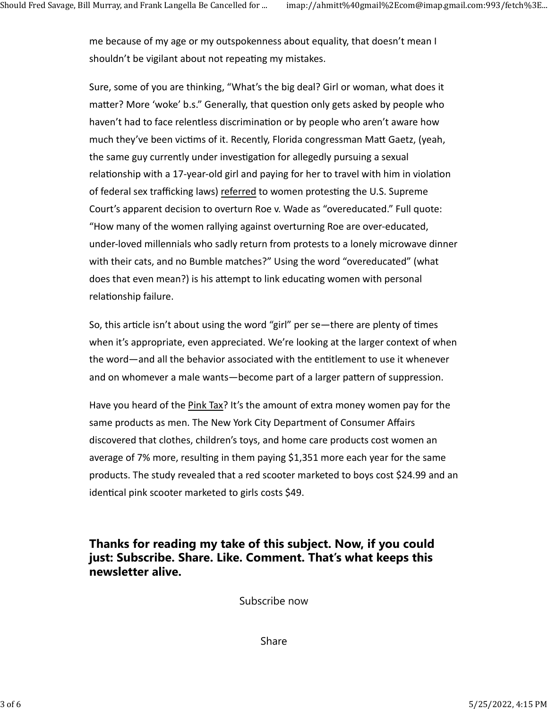me because of my age or my outspokenness about equality, that doesn't mean I shouldn't be vigilant about not repeating my mistakes.

Sure, some of you are thinking, "What's the big deal? Girl or woman, what does it matter? More 'woke' b.s." Generally, that question only gets asked by people who haven't had to face relentless discrimination or by people who aren't aware how much they've been victims of it. Recently, Florida congressman Matt Gaetz, (yeah, the same guy currently under investigation for allegedly pursuing a sexual relationship with a 17-year-old girl and paying for her to travel with him in violation of federal sex trafficking laws) referred to women protesting the U.S. Supreme Court's apparent decision to overturn Roe v. Wade as "overeducated." Full quote: "How many of the women rallying against overturning Roe are over-educated, under-loved millennials who sadly return from protests to a lonely microwave dinner with their cats, and no Bumble matches?" Using the word "overeducated" (what does that even mean?) is his attempt to link educating women with personal relationship failure.

So, this article isn't about using the word "girl" per se—there are plenty of times when it's appropriate, even appreciated. We're looking at the larger context of when the word—and all the behavior associated with the entitlement to use it whenever and on whomever a male wants—become part of a larger pattern of suppression.

Have you heard of the Pink Tax? It's the amount of extra money women pay for the same products as men. The New York City Department of Consumer Affairs discovered that clothes, children's toys, and home care products cost women an average of 7% more, resulting in them paying \$1,351 more each year for the same products. The study revealed that a red scooter marketed to boys cost \$24.99 and an identical pink scooter marketed to girls costs \$49.

**Thanks for reading my take of this subject. Now, if you could just: Subscribe. Share. Like. Comment. That's what keeps this newsletter alive.**

Subscribe now

Share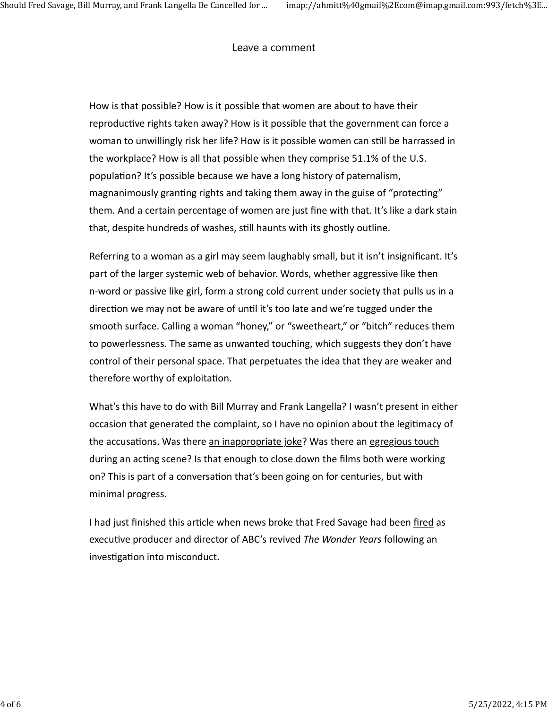Leave a comment

How is that possible? How is it possible that women are about to have their reproductive rights taken away? How is it possible that the government can force a woman to unwillingly risk her life? How is it possible women can still be harrassed in the workplace? How is all that possible when they comprise 51.1% of the U.S. population? It's possible because we have a long history of paternalism, magnanimously granting rights and taking them away in the guise of "protecting" them. And a certain percentage of women are just fine with that. It's like a dark stain that, despite hundreds of washes, still haunts with its ghostly outline.

Referring to a woman as a girl may seem laughably small, but it isn't insignificant. It's part of the larger systemic web of behavior. Words, whether aggressive like then n-word or passive like girl, form a strong cold current under society that pulls us in a direction we may not be aware of until it's too late and we're tugged under the smooth surface. Calling a woman "honey," or "sweetheart," or "bitch" reduces them to powerlessness. The same as unwanted touching, which suggests they don't have control of their personal space. That perpetuates the idea that they are weaker and therefore worthy of exploitation.

What's this have to do with Bill Murray and Frank Langella? I wasn't present in either occasion that generated the complaint, so I have no opinion about the legitimacy of the accusations. Was there an inappropriate joke? Was there an egregious touch during an acting scene? Is that enough to close down the films both were working on? This is part of a conversation that's been going on for centuries, but with minimal progress.

I had just finished this article when news broke that Fred Savage had been fired as executive producer and director of ABC's revived *The Wonder Years* following an investigation into misconduct.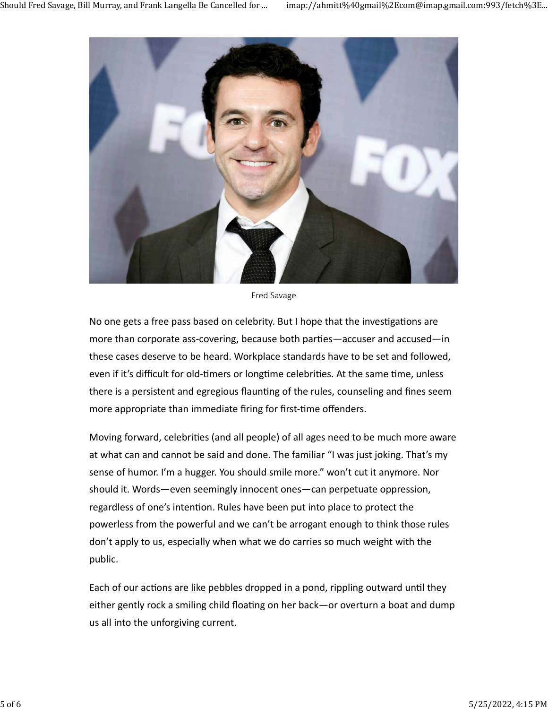

Fred Savage

No one gets a free pass based on celebrity. But I hope that the investigations are more than corporate ass-covering, because both parties—accuser and accused—in these cases deserve to be heard. Workplace standards have to be set and followed, even if it's difficult for old-timers or longtime celebrities. At the same time, unless there is a persistent and egregious flaunting of the rules, counseling and fines seem more appropriate than immediate firing for first-time offenders.

Moving forward, celebrities (and all people) of all ages need to be much more aware at what can and cannot be said and done. The familiar "I was just joking. That's my sense of humor. I'm a hugger. You should smile more." won't cut it anymore. Nor should it. Words—even seemingly innocent ones—can perpetuate oppression, regardless of one's intention. Rules have been put into place to protect the powerless from the powerful and we can't be arrogant enough to think those rules don't apply to us, especially when what we do carries so much weight with the public.

Each of our actions are like pebbles dropped in a pond, rippling outward until they either gently rock a smiling child floating on her back—or overturn a boat and dump us all into the unforgiving current.